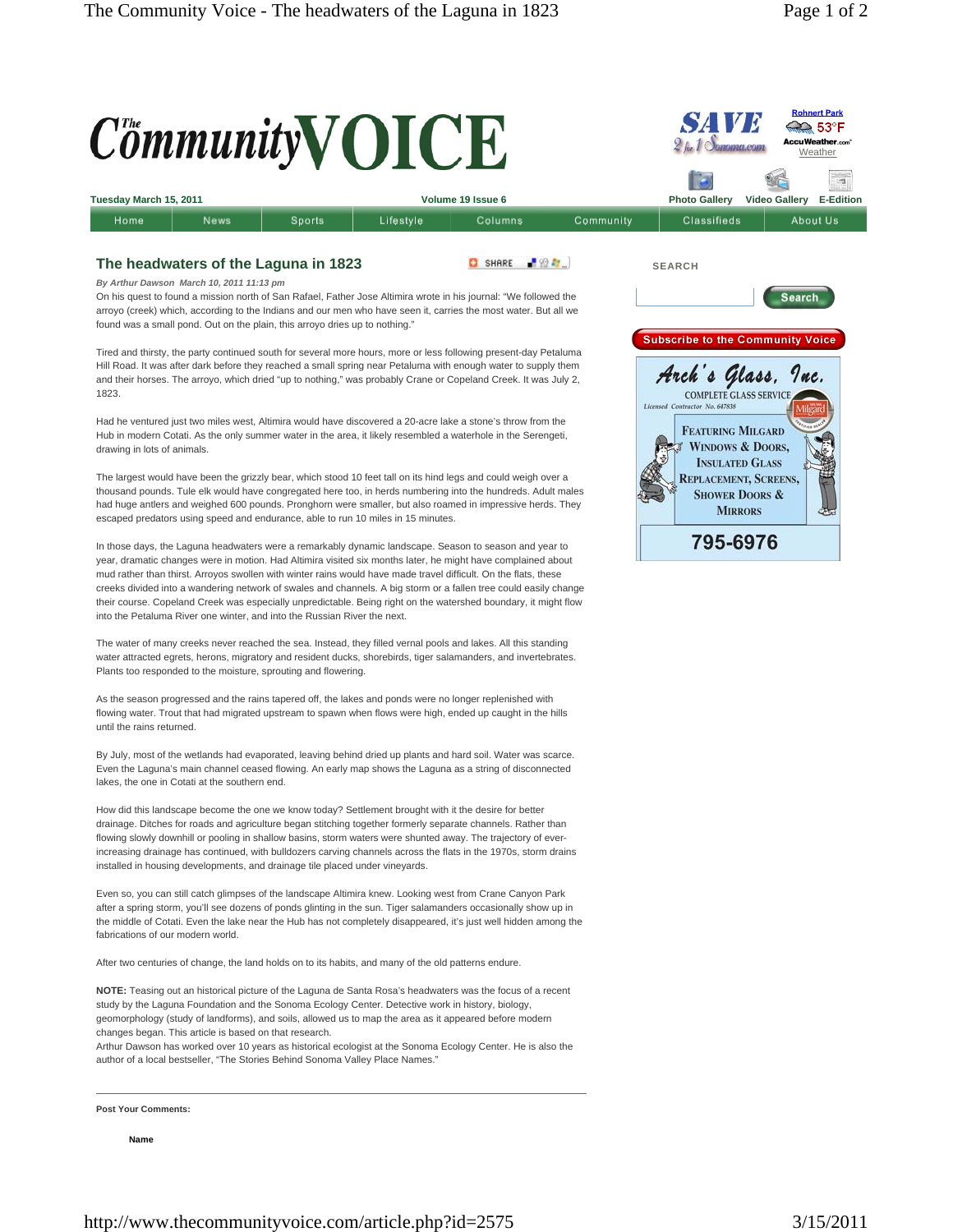**Weather** 

**Rohnert Park** 

 $\bigcirc$  53°F **AccuWeather.com** 



## **The headwaters of the Laguna in 1823**

SHARE FOR

*By Arthur Dawson March 10, 2011 11:13 pm*

On his quest to found a mission north of San Rafael, Father Jose Altimira wrote in his journal: "We followed the arroyo (creek) which, according to the Indians and our men who have seen it, carries the most water. But all we found was a small pond. Out on the plain, this arroyo dries up to nothing."

Tired and thirsty, the party continued south for several more hours, more or less following present-day Petaluma Hill Road. It was after dark before they reached a small spring near Petaluma with enough water to supply them and their horses. The arroyo, which dried "up to nothing," was probably Crane or Copeland Creek. It was July 2, 1823.

Had he ventured just two miles west, Altimira would have discovered a 20-acre lake a stone's throw from the Hub in modern Cotati. As the only summer water in the area, it likely resembled a waterhole in the Serengeti, drawing in lots of animals.

The largest would have been the grizzly bear, which stood 10 feet tall on its hind legs and could weigh over a thousand pounds. Tule elk would have congregated here too, in herds numbering into the hundreds. Adult males had huge antlers and weighed 600 pounds. Pronghorn were smaller, but also roamed in impressive herds. They escaped predators using speed and endurance, able to run 10 miles in 15 minutes.

In those days, the Laguna headwaters were a remarkably dynamic landscape. Season to season and year to year, dramatic changes were in motion. Had Altimira visited six months later, he might have complained about mud rather than thirst. Arroyos swollen with winter rains would have made travel difficult. On the flats, these creeks divided into a wandering network of swales and channels. A big storm or a fallen tree could easily change their course. Copeland Creek was especially unpredictable. Being right on the watershed boundary, it might flow into the Petaluma River one winter, and into the Russian River the next.

The water of many creeks never reached the sea. Instead, they filled vernal pools and lakes. All this standing water attracted egrets, herons, migratory and resident ducks, shorebirds, tiger salamanders, and invertebrates. Plants too responded to the moisture, sprouting and flowering.

As the season progressed and the rains tapered off, the lakes and ponds were no longer replenished with flowing water. Trout that had migrated upstream to spawn when flows were high, ended up caught in the hills until the rains returned.

By July, most of the wetlands had evaporated, leaving behind dried up plants and hard soil. Water was scarce. Even the Laguna's main channel ceased flowing. An early map shows the Laguna as a string of disconnected lakes, the one in Cotati at the southern end.

How did this landscape become the one we know today? Settlement brought with it the desire for better drainage. Ditches for roads and agriculture began stitching together formerly separate channels. Rather than flowing slowly downhill or pooling in shallow basins, storm waters were shunted away. The trajectory of everincreasing drainage has continued, with bulldozers carving channels across the flats in the 1970s, storm drains installed in housing developments, and drainage tile placed under vineyards.

Even so, you can still catch glimpses of the landscape Altimira knew. Looking west from Crane Canyon Park after a spring storm, you'll see dozens of ponds glinting in the sun. Tiger salamanders occasionally show up in the middle of Cotati. Even the lake near the Hub has not completely disappeared, it's just well hidden among the fabrications of our modern world.

After two centuries of change, the land holds on to its habits, and many of the old patterns endure.

**NOTE:** Teasing out an historical picture of the Laguna de Santa Rosa's headwaters was the focus of a recent study by the Laguna Foundation and the Sonoma Ecology Center. Detective work in history, biology, geomorphology (study of landforms), and soils, allowed us to map the area as it appeared before modern changes began. This article is based on that research.

Arthur Dawson has worked over 10 years as historical ecologist at the Sonoma Ecology Center. He is also the author of a local bestseller, "The Stories Behind Sonoma Valley Place Names."

**Post Your Comments:** 

**Name**